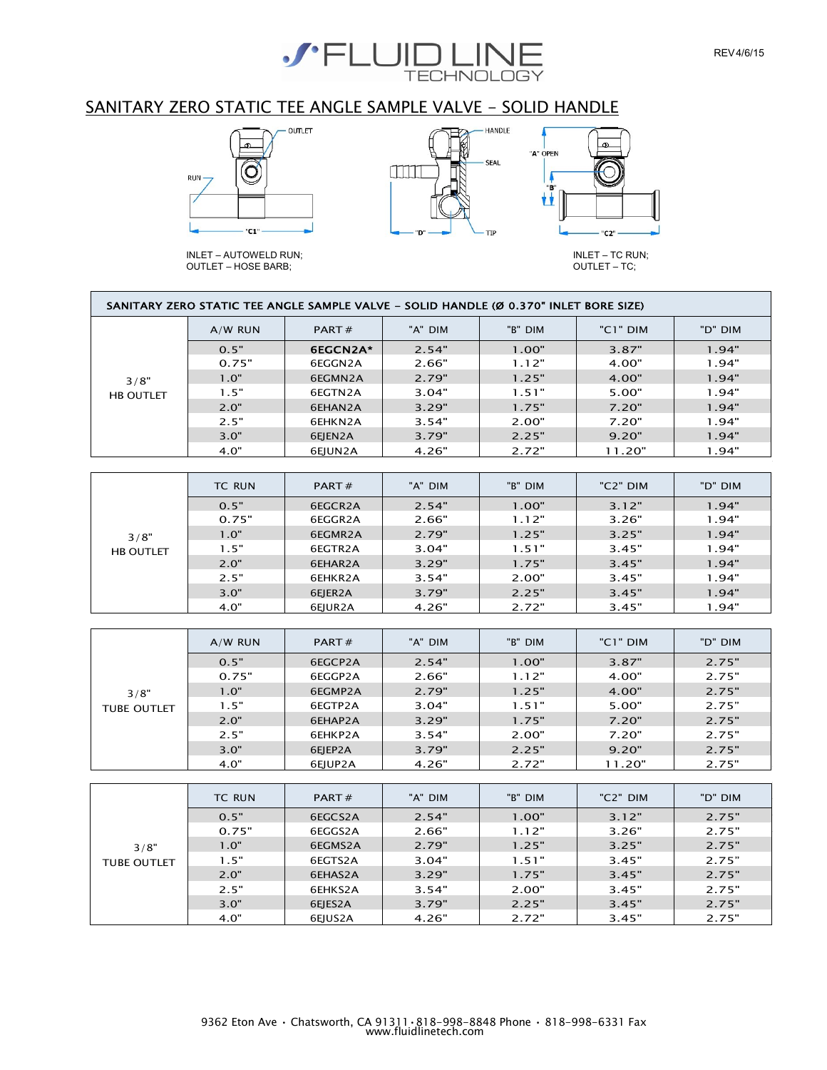

## SANITARY ZERO STATIC TEE ANGLE SAMPLE VALVE - SOLID HANDLE









INLET – TC RUN; OUTLET – TC;

|                  |           | SANITARY ZERO STATIC TEE ANGLE SAMPLE VALVE - SOLID HANDLE (Ø 0.370" INLET BORE SIZE) |         |         |          |         |
|------------------|-----------|---------------------------------------------------------------------------------------|---------|---------|----------|---------|
|                  | $A/W$ RUN | PART#                                                                                 | "A" DIM | "B" DIM | "C1" DIM | "D" DIM |
|                  | 0.5"      | 6EGCN2A*                                                                              | 2.54"   | 1.00"   | 3.87"    | 1.94"   |
|                  | 0.75"     | 6EGGN2A                                                                               | 2.66"   | 1.12"   | 4.00"    | 1.94"   |
| 3/8"             | 1.0"      | 6EGMN2A                                                                               | 2.79"   | 1.25"   | 4.00"    | 1.94"   |
| <b>HB OUTLET</b> | 1.5"      | 6EGTN2A                                                                               | 3.04"   | 1.51"   | 5.00"    | 1.94"   |
|                  | 2.0"      | 6EHAN2A                                                                               | 3.29"   | 1.75"   | 7.20"    | 1.94"   |
|                  | 2.5"      | 6EHKN2A                                                                               | 3.54"   | 2.00"   | 7.20"    | 1.94"   |
|                  | 3.0"      | 6EJEN2A                                                                               | 3.79"   | 2.25"   | 9.20"    | 1.94"   |
|                  | 4.0"      | 6EJUN2A                                                                               | 4.26"   | 2.72"   | 11.20"   | 1.94"   |

|                  | <b>TC RUN</b> | PART $#$ | "A" DIM | "B" DIM | "C <sub>2</sub> " DIM | "D" DIM |
|------------------|---------------|----------|---------|---------|-----------------------|---------|
|                  | 0.5"          | 6EGCR2A  | 2.54"   | 1.00"   | 3.12"                 | 1.94"   |
|                  | 0.75"         | 6EGGR2A  | 2.66"   | 1.12"   | 3.26"                 | 1.94"   |
| 3/8"             | 1.0"          | 6EGMR2A  | 2.79"   | 1.25"   | 3.25"                 | 1.94"   |
| <b>HB OUTLET</b> | 1.5"          | 6EGTR2A  | 3.04"   | 1.51"   | 3.45"                 | 1.94"   |
|                  | 2.0"          | 6EHAR2A  | 3.29"   | 1.75"   | 3.45"                 | 1.94"   |
|                  | 2.5"          | 6EHKR2A  | 3.54"   | 2.00"   | 3.45"                 | 1.94"   |
|                  | 3.0"          | 6EJER2A  | 3.79"   | 2.25"   | 3.45"                 | 1.94"   |
|                  | 4.0"          | 6EJUR2A  | 4.26"   | 2.72"   | 3.45"                 | 1.94"   |

|                    | $A/W$ RUN | PART $#$ | "A" DIM | "B" DIM | "C1" DIM | "D" DIM |
|--------------------|-----------|----------|---------|---------|----------|---------|
|                    | 0.5"      | 6EGCP2A  | 2.54"   | 1.00"   | 3.87"    | 2.75"   |
|                    | 0.75"     | 6EGGP2A  | 2.66"   | 1.12"   | 4.00"    | 2.75"   |
| 3/8"               | 1.0"      | 6EGMP2A  | 2.79"   | 1.25"   | 4.00"    | 2.75"   |
| <b>TUBE OUTLET</b> | 1.5"      | 6EGTP2A  | 3.04"   | 1.51"   | 5.00"    | 2.75"   |
|                    | 2.0"      | 6EHAP2A  | 3.29"   | 1.75"   | 7.20"    | 2.75"   |
|                    | 2.5"      | 6EHKP2A  | 3.54"   | 2.00"   | 7.20"    | 2.75"   |
|                    | 3.0"      | 6EJEP2A  | 3.79"   | 2.25"   | 9.20"    | 2.75"   |
|                    | 4.0"      | 6EJUP2A  | 4.26"   | 2.72"   | 11.20"   | 2.75"   |

|                    | <b>TC RUN</b> | PART $#$ | "A" DIM | "B" DIM | "C2" DIM | "D" DIM |
|--------------------|---------------|----------|---------|---------|----------|---------|
|                    | 0.5"          | 6EGCS2A  | 2.54"   | 1.00"   | 3.12"    | 2.75"   |
|                    | 0.75"         | 6EGGS2A  | 2.66"   | 1.12"   | 3.26"    | 2.75"   |
| 3/8"               | 1.0"          | 6EGMS2A  | 2.79"   | 1.25"   | 3.25"    | 2.75"   |
| <b>TUBE OUTLET</b> | 1.5"          | 6EGTS2A  | 3.04"   | 1.51"   | 3.45"    | 2.75"   |
|                    | 2.0"          | 6EHAS2A  | 3.29"   | 1.75"   | 3.45"    | 2.75"   |
|                    | 2.5"          | 6EHKS2A  | 3.54"   | 2.00"   | 3.45"    | 2.75"   |
|                    | 3.0"          | 6EJES2A  | 3.79"   | 2.25"   | 3.45"    | 2.75"   |
|                    | 4.0"          | 6EJUS2A  | 4.26"   | 2.72"   | 3.45"    | 2.75"   |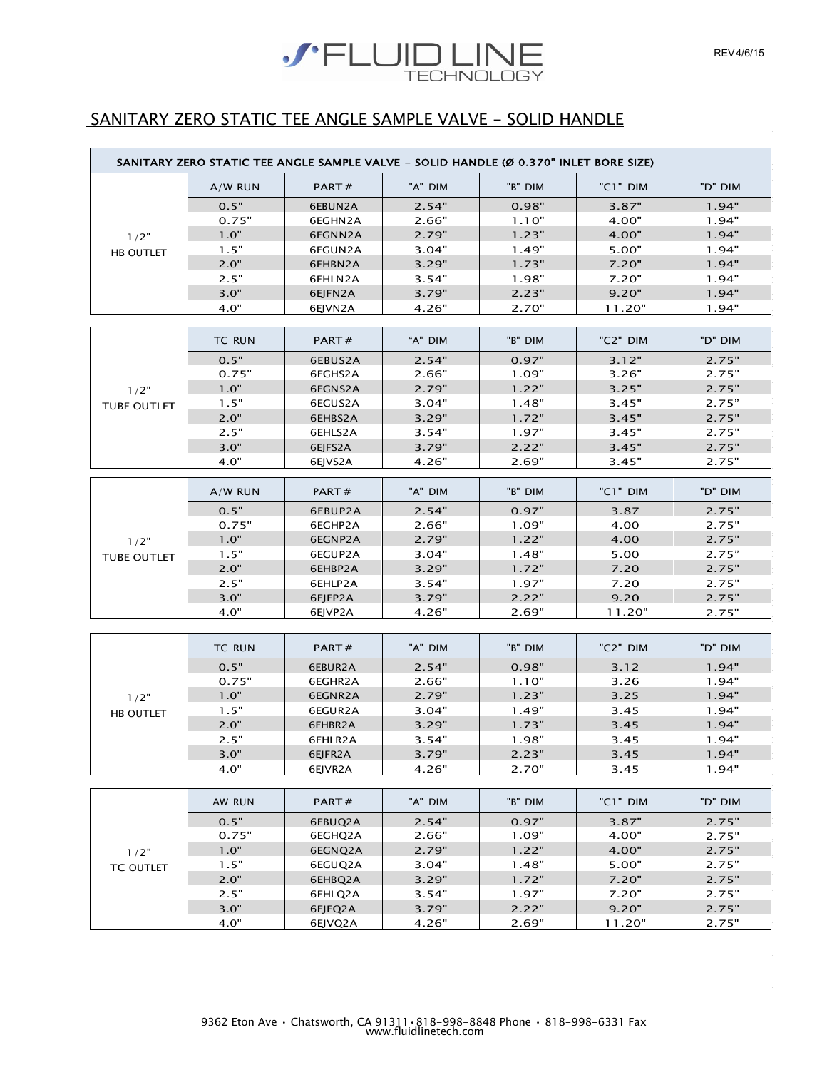# **SPELUID LINE**

# SANITARY ZERO STATIC TEE ANGLE SAMPLE VALVE - SOLID HANDLE

|                    | SANITARY ZERO STATIC TEE ANGLE SAMPLE VALVE - SOLID HANDLE (Ø 0.370" INLET BORE SIZE) |         |         |         |          |         |
|--------------------|---------------------------------------------------------------------------------------|---------|---------|---------|----------|---------|
|                    | $A/W$ RUN                                                                             | PART#   | "A" DIM | "B" DIM | "C1" DIM | "D" DIM |
|                    | 0.5"                                                                                  | 6EBUN2A | 2.54"   | 0.98"   | 3.87"    | 1.94"   |
|                    | 0.75"                                                                                 | 6EGHN2A | 2.66"   | 1.10"   | 4.00"    | 1.94"   |
| 1/2"               | 1.0"                                                                                  | 6EGNN2A | 2.79"   | 1.23"   | 4.00"    | 1.94"   |
| HB OUTLET          | 1.5"                                                                                  | 6EGUN2A | 3.04"   | 1.49"   | 5.00"    | 1.94"   |
|                    | 2.0"                                                                                  | 6EHBN2A | 3.29"   | 1.73"   | 7.20"    | 1.94"   |
|                    | 2.5"                                                                                  | 6EHLN2A | 3.54"   | 1.98"   | 7.20"    | 1.94"   |
|                    | 3.0"                                                                                  | 6EJFN2A | 3.79"   | 2.23"   | 9.20"    | 1.94"   |
|                    | 4.0"                                                                                  | 6EJVN2A | 4.26"   | 2.70"   | 11.20"   | 1.94"   |
|                    |                                                                                       |         |         |         |          |         |
|                    | <b>TC RUN</b>                                                                         | PART#   | "A" DIM | "B" DIM | "C2" DIM | "D" DIM |
|                    | 0.5"                                                                                  | 6EBUS2A | 2.54"   | 0.97"   | 3.12"    | 2.75"   |
|                    | 0.75"                                                                                 | 6EGHS2A | 2.66"   | 1.09"   | 3.26"    | 2.75"   |
| 1/2"               | 1.0"                                                                                  | 6EGNS2A | 2.79"   | 1.22"   | 3.25"    | 2.75"   |
| <b>TUBE OUTLET</b> | 1.5"                                                                                  | 6EGUS2A | 3.04"   | 1.48"   | 3.45"    | 2.75"   |
|                    | 2.0"                                                                                  | 6EHBS2A | 3.29"   | 1.72"   | 3.45"    | 2.75"   |
|                    | 2.5"                                                                                  | 6EHLS2A | 3.54"   | 1.97"   | 3.45"    | 2.75"   |
|                    | 3.0"                                                                                  | 6EJFS2A | 3.79"   | 2.22"   | 3.45"    | 2.75"   |
|                    | 4.0"                                                                                  | 6EJVS2A | 4.26"   | 2.69"   | 3.45"    | 2.75"   |
|                    | $A/W$ RUN                                                                             | PART#   | "A" DIM | "B" DIM | "C1" DIM | "D" DIM |
|                    |                                                                                       |         |         |         |          |         |
|                    | 0.5"                                                                                  | 6EBUP2A | 2.54"   | 0.97"   | 3.87     | 2.75"   |
|                    | 0.75"                                                                                 | 6EGHP2A | 2.66"   | 1.09"   | 4.00     | 2.75"   |
| 1/2"               | 1.0"                                                                                  | 6EGNP2A | 2.79"   | 1.22"   | 4.00     | 2.75"   |
| <b>TUBE OUTLET</b> | 1.5"                                                                                  | 6EGUP2A | 3.04"   | 1.48"   | 5.00     | 2.75"   |
|                    | 2.0"                                                                                  | 6EHBP2A | 3.29"   | 1.72"   | 7.20     | 2.75"   |
|                    | 2.5"                                                                                  | 6EHLP2A | 3.54"   | 1.97"   | 7.20     | 2.75"   |
|                    | 3.0"                                                                                  | 6EJFP2A | 3.79"   | 2.22"   | 9.20     | 2.75"   |
|                    | 4.0"                                                                                  | 6EJVP2A | 4.26"   | 2.69"   | 11.20"   | 2.75"   |
|                    |                                                                                       |         |         |         |          |         |
|                    | <b>TC RUN</b>                                                                         | PART#   | "A" DIM | "B" DIM | "C2" DIM | "D" DIM |
|                    | 0.5"                                                                                  | 6EBUR2A | 2.54"   | 0.98"   | 3.12     | 1.94"   |
|                    | 0.75"                                                                                 | 6EGHR2A | 2.66"   | 1.10"   | 3.26     | 1.94"   |
| 1/2"               | 1.0"                                                                                  | 6EGNR2A | 2.79"   | 1.23"   | 3.25     | 1.94"   |
| HB OUTLET          | 1.5"                                                                                  | 6EGUR2A | 3.04"   | 1.49"   | 3.45     | 1.94"   |
|                    | 2.0"                                                                                  | 6EHBR2A | 3.29"   | 1.73"   | 3.45     | 1.94"   |
|                    | 2.5"                                                                                  | 6EHLR2A | 3.54"   | 1.98"   | 3.45     | 1.94"   |
|                    | 3.0"                                                                                  | 6EJFR2A | 3.79"   | 2.23"   | 3.45     | 1.94"   |
|                    | 4.0"                                                                                  | 6EJVR2A | 4.26"   | 2.70"   | 3.45     | 1.94"   |
|                    |                                                                                       |         |         |         |          |         |
|                    | AW RUN                                                                                | PART#   | "A" DIM | "B" DIM | "C1" DIM | "D" DIM |
|                    | 0.5"                                                                                  | 6EBUQ2A | 2.54"   | 0.97"   | 3.87"    | 2.75"   |
|                    | 0.75"                                                                                 | 6EGHQ2A | 2.66"   | 1.09"   | 4.00"    | 2.75"   |
| $1/2$ "            | 1.0"                                                                                  | 6EGNQ2A | 2.79"   | 1.22"   | 4.00"    | 2.75"   |
| TC OUTLET          | 1.5"                                                                                  | 6EGUQ2A | 3.04"   | 1.48"   | 5.00"    | 2.75"   |
|                    | 2.0"                                                                                  | 6EHBQ2A | 3.29"   | 1.72"   | 7.20"    | 2.75"   |
|                    | 2.5"                                                                                  | 6EHLQ2A | 3.54"   | 1.97"   | 7.20"    | 2.75"   |
|                    | 3.0"                                                                                  | 6EJFQ2A | 3.79"   | 2.22"   | 9.20"    | 2.75"   |
|                    | 4.0"                                                                                  | 6EJVQ2A | 4.26"   | 2.69"   | 11.20"   | 2.75"   |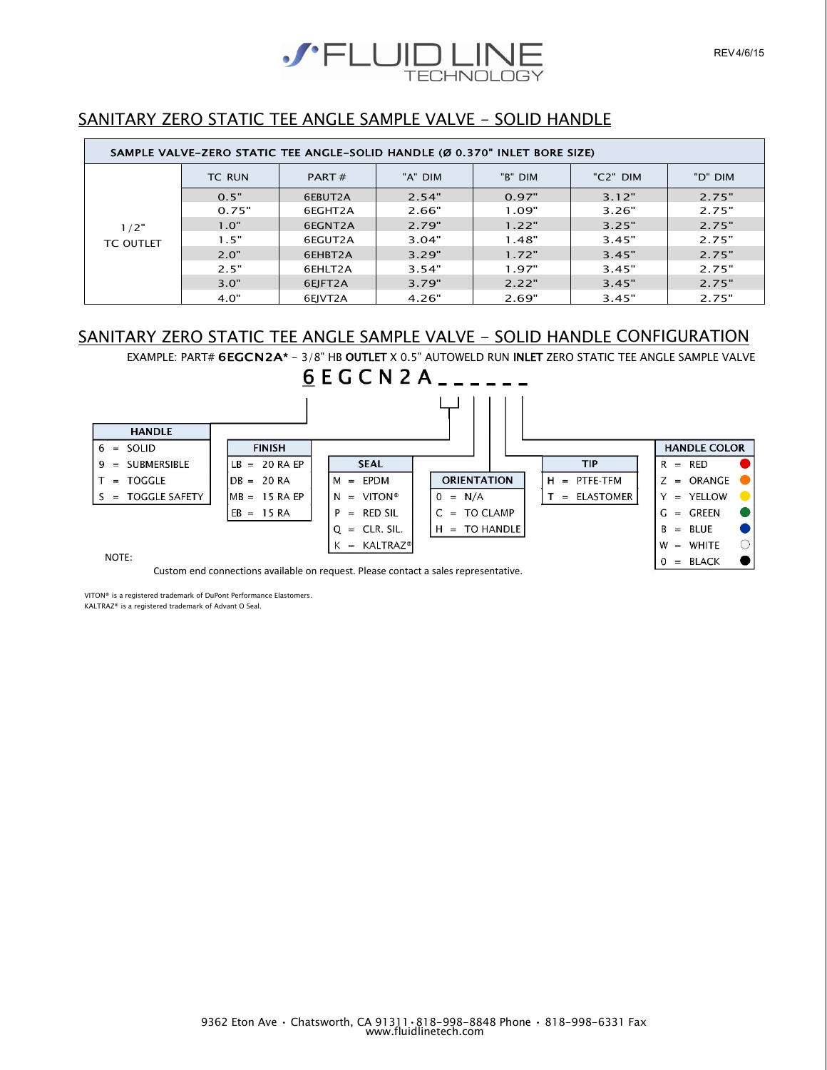

# SANITARY ZERO STATIC TEE ANGLE SAMPLE VALVE - SOLID HANDLE

|                  | SAMPLE VALVE-ZERO STATIC TEE ANGLE-SOLID HANDLE (Ø 0.370" INLET BORE SIZE) |          |         |         |          |         |
|------------------|----------------------------------------------------------------------------|----------|---------|---------|----------|---------|
|                  | <b>TC RUN</b>                                                              | PART $#$ | "A" DIM | "B" DIM | "C2" DIM | "D" DIM |
|                  | 0.5"                                                                       | 6EBUT2A  | 2.54"   | 0.97"   | 3.12"    | 2.75"   |
|                  | 0.75"                                                                      | 6EGHT2A  | 2.66"   | 1.09"   | 3.26"    | 2.75"   |
| 1/2"             | 1.0"                                                                       | 6EGNT2A  | 2.79"   | 1.22"   | 3.25"    | 2.75"   |
| <b>TC OUTLET</b> | 1.5"                                                                       | 6EGUT2A  | 3.04"   | 1.48"   | 3.45"    | 2.75"   |
|                  | 2.0"                                                                       | 6EHBT2A  | 3.29"   | 1.72"   | 3.45"    | 2.75"   |
|                  | 2.5"                                                                       | 6EHLT2A  | 3.54"   | 1.97"   | 3.45"    | 2.75"   |
|                  | 3.0"                                                                       | 6EJFT2A  | 3.79"   | 2.22"   | 3.45"    | 2.75"   |
|                  | 4.0"                                                                       | 6EJVT2A  | 4.26"   | 2.69"   | 3.45"    | 2.75"   |

# SANITARY ZERO STATIC TEE ANGLE SAMPLE VALVE - SOLID HANDLE CONFIGURATION

EXAMPLE: PART# 6EGCN2A\* - 3/8" HB OUTLET X 0.5" AUTOWELD RUN INLET ZERO STATIC TEE ANGLE SAMPLE VALVE



Custom end connections available on request. Please contact a sales representative.

VITON® is a registered trademark of DuPont Performance Elastomers. KALTRAZ® is a registered trademark of Advant O Seal.